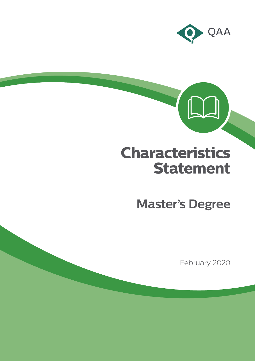

# **Characteristics Statement**

**Master's Degree**

February 2020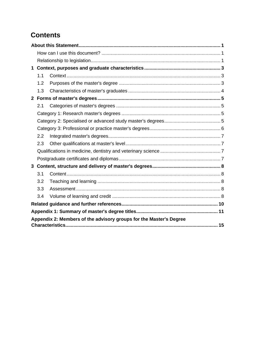# **Contents**

| $\mathbf 1$                                                        |     |  |  |  |
|--------------------------------------------------------------------|-----|--|--|--|
|                                                                    | 1.1 |  |  |  |
|                                                                    | 1.2 |  |  |  |
|                                                                    | 1.3 |  |  |  |
| 2 <sup>1</sup>                                                     |     |  |  |  |
|                                                                    | 2.1 |  |  |  |
|                                                                    |     |  |  |  |
|                                                                    |     |  |  |  |
|                                                                    |     |  |  |  |
|                                                                    | 2.2 |  |  |  |
|                                                                    | 2.3 |  |  |  |
|                                                                    |     |  |  |  |
|                                                                    |     |  |  |  |
|                                                                    |     |  |  |  |
|                                                                    | 3.1 |  |  |  |
|                                                                    | 3.2 |  |  |  |
|                                                                    | 3.3 |  |  |  |
|                                                                    | 3.4 |  |  |  |
|                                                                    |     |  |  |  |
|                                                                    |     |  |  |  |
| Appendix 2: Members of the advisory groups for the Master's Degree |     |  |  |  |
|                                                                    |     |  |  |  |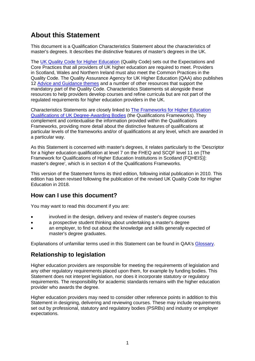# <span id="page-2-0"></span>**About this Statement**

This document is a Qualification Characteristics Statement about the characteristics of master's degrees. It describes the distinctive features of master's degrees in the UK.

The [UK Quality Code for Higher Education](https://www.qaa.ac.uk/quality-code) (Quality Code) sets out the Expectations and Core Practices that all providers of UK higher education are required to meet. Providers in Scotland, Wales and Northern Ireland must also meet the Common Practices in the Quality Code. The Quality Assurance Agency for UK Higher Education (QAA) also publishes 12 [Advice and Guidance themes](https://www.qaa.ac.uk/quality-code/advice-and-guidance) and a number of other resources that support the mandatory part of the Quality Code. Characteristics Statements sit alongside these resources to help providers develop courses and refine curricula but are not part of the regulated requirements for higher education providers in the UK.

Characteristics Statements are closely linked to [The Frameworks for Higher Education](https://www.qaa.ac.uk/quality-code/qualifications-and-credit-frameworks)  [Qualifications of UK Degree-Awarding Bodies](https://www.qaa.ac.uk/quality-code/qualifications-and-credit-frameworks) (the Qualifications Frameworks). They complement and contextualise the information provided within the Qualifications Frameworks, providing more detail about the distinctive features of qualifications at particular levels of the frameworks and/or of qualifications at any level, which are awarded in a particular way.

As this Statement is concerned with master's degrees, it relates particularly to the 'Descriptor for a higher education qualification at level 7 on the FHEQ and SCQF level 11 on [The Framework for Qualifications of Higher Education Institutions in Scotland (FQHEIS)]: master's degree', which is in section 4 of the Qualifications Frameworks.

This version of the Statement forms its third edition, following initial publication in 2010. This edition has been revised following the publication of the revised UK Quality Code for Higher Education in 2018.

#### <span id="page-2-1"></span>**How can I use this document?**

You may want to read this document if you are:

- involved in the design, delivery and review of master's degree courses
- a prospective student thinking about undertaking a master's degree
- an employer, to find out about the knowledge and skills generally expected of master's degree graduates.

Explanations of unfamiliar terms used in this Statement can be found in QAA's [Glossary.](https://www.qaa.ac.uk/glossary)

#### <span id="page-2-2"></span>**Relationship to legislation**

Higher education providers are responsible for meeting the requirements of legislation and any other regulatory requirements placed upon them, for example by funding bodies. This Statement does not interpret legislation, nor does it incorporate statutory or regulatory requirements. The responsibility for academic standards remains with the higher education provider who awards the degree.

Higher education providers may need to consider other reference points in addition to this Statement in designing, delivering and reviewing courses. These may include requirements set out by professional, statutory and regulatory bodies (PSRBs) and industry or employer expectations.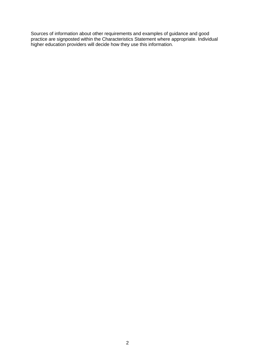Sources of information about other requirements and examples of guidance and good practice are signposted within the Characteristics Statement where appropriate. Individual higher education providers will decide how they use this information.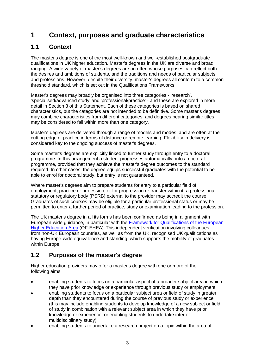# <span id="page-4-0"></span>**1 Context, purposes and graduate characteristics**

## <span id="page-4-1"></span>**1.1 Context**

The master's degree is one of the most well-known and well-established postgraduate qualifications in UK higher education. Master's degrees in the UK are diverse and broad ranging. A wide variety of master's degrees are on offer, whose purposes can reflect both the desires and ambitions of students, and the traditions and needs of particular subjects and professions. However, despite their diversity, master's degrees all conform to a common threshold standard, which is set out in the Qualifications Frameworks.

Master's degrees may broadly be organised into three categories - 'research', 'specialised/advanced study' and 'professional/practice' - and these are explored in more detail in Section 3 of this Statement. Each of these categories is based on shared characteristics, but the categories are not intended to be definitive. Some master's degrees may combine characteristics from different categories, and degrees bearing similar titles may be considered to fall within more than one category.

Master's degrees are delivered through a range of models and modes, and are often at the cutting edge of practice in terms of distance or remote learning. Flexibility in delivery is considered key to the ongoing success of master's degrees.

Some master's degrees are explicitly linked to further study through entry to a doctoral programme. In this arrangement a student progresses automatically onto a doctoral programme, provided that they achieve the master's degree outcomes to the standard required. In other cases, the degree equips successful graduates with the potential to be able to enrol for doctoral study, but entry is not guaranteed.

Where master's degrees aim to prepare students for entry to a particular field of employment, practice or profession, or for progression or transfer within it, a professional, statutory or regulatory body (PSRB) external to the provider may accredit the course. Graduates of such courses may be eligible for a particular professional status or may be permitted to enter a further period of practice, study or examination leading to the profession.

The UK master's degree in all its forms has been confirmed as being in alignment with European-wide guidance, in particular with the [Framework for Qualifications of the European](http://ecahe.eu/w/index.php/Framework_for_Qualifications_of_the_European_Higher_Education_Area)  [Higher Education Area](http://ecahe.eu/w/index.php/Framework_for_Qualifications_of_the_European_Higher_Education_Area) (QF-EHEA). This independent verification involving colleagues from non-UK European countries, as well as from the UK, recognised UK qualifications as having Europe-wide equivalence and standing, which supports the mobility of graduates within Europe.

## <span id="page-4-2"></span>**1.2 Purposes of the master's degree**

Higher education providers may offer a master's degree with one or more of the following aims:

- enabling students to focus on a particular aspect of a broader subject area in which they have prior knowledge or experience through previous study or employment
- enabling students to focus on a particular subject area or field of study in greater depth than they encountered during the course of previous study or experience (this may include enabling students to develop knowledge of a new subject or field of study in combination with a relevant subject area in which they have prior knowledge or experience, or enabling students to undertake inter or multidisciplinary study)
- enabling students to undertake a research project on a topic within the area of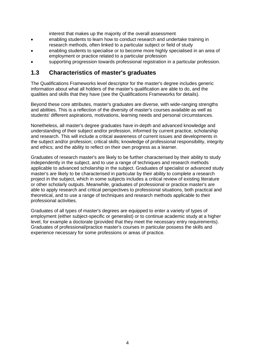interest that makes up the majority of the overall assessment

- enabling students to learn how to conduct research and undertake training in research methods, often linked to a particular subject or field of study
- enabling students to specialise or to become more highly specialised in an area of employment or practice related to a particular profession
- supporting progression towards professional registration in a particular profession.

#### <span id="page-5-0"></span>**1.3 Characteristics of master's graduates**

The Qualifications Frameworks level descriptor for the master's degree includes generic information about what all holders of the master's qualification are able to do, and the qualities and skills that they have (see the Qualifications Frameworks for details).

Beyond these core attributes, master's graduates are diverse, with wide-ranging strengths and abilities. This is a reflection of the diversity of master's courses available as well as students' different aspirations, motivations, learning needs and personal circumstances.

Nonetheless, all master's degree graduates have in-depth and advanced knowledge and understanding of their subject and/or profession, informed by current practice, scholarship and research. This will include a critical awareness of current issues and developments in the subject and/or profession; critical skills; knowledge of professional responsibility, integrity and ethics; and the ability to reflect on their own progress as a learner.

Graduates of research master's are likely to be further characterised by their ability to study independently in the subject, and to use a range of techniques and research methods applicable to advanced scholarship in the subject. Graduates of specialist or advanced study master's are likely to be characterised in particular by their ability to complete a research project in the subject, which in some subjects includes a critical review of existing literature or other scholarly outputs. Meanwhile, graduates of professional or practice master's are able to apply research and critical perspectives to professional situations, both practical and theoretical, and to use a range of techniques and research methods applicable to their professional activities.

Graduates of all types of master's degrees are equipped to enter a variety of types of employment (either subject-specific or generalist) or to continue academic study at a higher level, for example a doctorate (provided that they meet the necessary entry requirements). Graduates of professional/practice master's courses in particular possess the skills and experience necessary for some professions or areas of practice.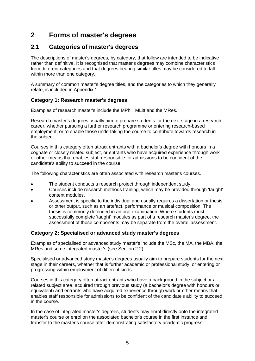# <span id="page-6-0"></span>**2 Forms of master's degrees**

## <span id="page-6-1"></span>**2.1 Categories of master's degrees**

The descriptions of master's degrees, by category, that follow are intended to be indicative rather than definitive. It is recognised that master's degrees may combine characteristics from different categories and that degrees bearing similar titles may be considered to fall within more than one category.

A summary of common master's degree titles, and the categories to which they generally relate, is included in Appendix 1.

#### <span id="page-6-2"></span>**Category 1: Research master's degrees**

Examples of research master's include the MPhil, MLitt and the MRes.

Research master's degrees usually aim to prepare students for the next stage in a research career, whether pursuing a further research programme or entering research-based employment; or to enable those undertaking the course to contribute towards research in the subject.

Courses in this category often attract entrants with a bachelor's degree with honours in a cognate or closely related subject, or entrants who have acquired experience through work or other means that enables staff responsible for admissions to be confident of the candidate's ability to succeed in the course.

The following characteristics are often associated with research master's courses.

- The student conducts a research project through independent study.
- Courses include research methods training, which may be provided through 'taught' content modules.
- Assessment is specific to the individual and usually requires a dissertation or thesis, or other output, such as an artefact, performance or musical composition. The thesis is commonly defended in an oral examination. Where students must successfully complete 'taught' modules as part of a research master's degree, the assessment of those components may be separate from the overall assessment.

#### <span id="page-6-3"></span>**Category 2: Specialised or advanced study master's degrees**

Examples of specialised or advanced study master's include the MSc, the MA, the MBA, the MRes and some integrated master's (see Section 2.2).

Specialised or advanced study master's degrees usually aim to prepare students for the next stage in their careers, whether that is further academic or professional study, or entering or progressing within employment of different kinds.

Courses in this category often attract entrants who have a background in the subject or a related subject area, acquired through previous study (a bachelor's degree with honours or equivalent) and entrants who have acquired experience through work or other means that enables staff responsible for admissions to be confident of the candidate's ability to succeed in the course.

In the case of integrated master's degrees, students may enrol directly onto the integrated master's course or enrol on the associated bachelor's course in the first instance and transfer to the master's course after demonstrating satisfactory academic progress.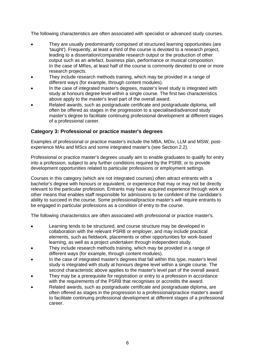The following characteristics are often associated with specialist or advanced study courses.

- They are usually predominantly composed of structured learning opportunities (are 'taught'). Frequently, at least a third of the course is devoted to a research project, leading to a dissertation/comparable research output or the production of other output such as an artefact, business plan, performance or musical composition. In the case of MRes, at least half of the course is commonly devoted to one or more research projects.
- They include research methods training, which may be provided in a range of different ways (for example, through content modules).
- In the case of integrated master's degrees, master's level study is integrated with study at honours degree level within a single course. The first two characteristics above apply to the master's level part of the overall award.
- Related awards, such as postgraduate certificate and postgraduate diploma, will often be offered as stages in the progression to a specialised/advanced study master's degree to facilitate continuing professional development at different stages of a professional career.

#### <span id="page-7-0"></span>**Category 3: Professional or practice master's degrees**

Examples of professional or practice master's include the MBA, MDiv, LLM and MSW, postexperience MAs and MScs and some integrated master's (see Section 2.2).

Professional or practice master's degrees usually aim to enable graduates to qualify for entry into a profession, subject to any further conditions required by the PSRB; or to provide development opportunities related to particular professions or employment settings.

Courses in this category (which are not integrated courses) often attract entrants with a bachelor's degree with honours or equivalent, or experience that may or may not be directly relevant to the particular profession. Entrants may have acquired experience through work or other means that enables staff responsible for admissions to be confident of the candidate's ability to succeed in the course. Some professional/practice master's will require entrants to be engaged in particular professions as a condition of entry to the course.

The following characteristics are often associated with professional or practice master's.

- Learning tends to be structured, and course structure may be developed in collaboration with the relevant PSRB or employer, and may include practical elements, such as fieldwork, placements or other opportunities for work-based learning, as well as a project undertaken through independent study.
- They include research methods training, which may be provided in a range of different ways (for example, through content modules).
- In the case of integrated master's degrees that fall within this type, master's level study is integrated with study at honours degree level within a single course. The second characteristic above applies to the master's level part of the overall award.
- They may be a prerequisite for registration or entry to a profession in accordance with the requirements of the PSRB that recognises or accredits the award.
- Related awards, such as postgraduate certificate and postgraduate diploma, are often offered as stages in the progression to a professional/practice master's award to facilitate continuing professional development at different stages of a professional career.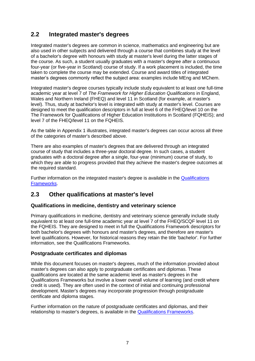## <span id="page-8-0"></span>**2.2 Integrated master's degrees**

Integrated master's degrees are common in science, mathematics and engineering but are also used in other subjects and delivered through a course that combines study at the level of a bachelor's degree with honours with study at master's level during the latter stages of the course. As such, a student usually graduates with a master's degree after a continuous four-year (or five-year in Scotland) course of study. If a work placement is included, the time taken to complete the course may be extended. Course and award titles of integrated master's degrees commonly reflect the subject area: examples include MEng and MChem.

Integrated master's degree courses typically include study equivalent to at least one full-time academic year at level 7 of *The Framework for Higher Education Qualifications* in England, Wales and Northern Ireland (FHEQ) and level 11 in Scotland (for example, at master's level). Thus, study at bachelor's level is integrated with study at master's level. Courses are designed to meet the qualification descriptors in full at level 6 of the FHEQ/level 10 on the The Framework for Qualifications of Higher Education Institutions in Scotland (FQHEIS); and level 7 of the FHEQ/level 11 on the FQHEIS.

As the table in Appendix 1 illustrates, integrated master's degrees can occur across all three of the categories of master's described above.

There are also examples of master's degrees that are delivered through an integrated course of study that includes a three-year doctoral degree. In such cases, a student graduates with a doctoral degree after a single, four-year (minimum) course of study, to which they are able to progress provided that they achieve the master's degree outcomes at the required standard.

Further information on the integrated master's degree is available in the [Qualifications](https://www.qaa.ac.uk/quality-code/qualifications-and-credit-frameworks)  [Frameworks.](https://www.qaa.ac.uk/quality-code/qualifications-and-credit-frameworks)

#### <span id="page-8-1"></span>**2.3 Other qualifications at master's level**

#### <span id="page-8-2"></span>**Qualifications in medicine, dentistry and veterinary science**

Primary qualifications in medicine, dentistry and veterinary science generally include study equivalent to at least one full-time academic year at level 7 of the FHEQ/SCQF level 11 on the FQHEIS. They are designed to meet in full the Qualifications Framework descriptors for both bachelor's degrees with honours and master's degrees, and therefore are master's level qualifications. However, for historical reasons they retain the title 'bachelor'. For further information, see the Qualifications Frameworks.

#### <span id="page-8-3"></span>**Postgraduate certificates and diplomas**

While this document focuses on master's degrees, much of the information provided about master's degrees can also apply to postgraduate certificates and diplomas. These qualifications are located at the same academic level as master's degrees in the Qualifications Frameworks but involve a lower overall volume of learning (and credit where credit is used). They are often used in the context of initial and continuing professional development. Master's degrees may incorporate progression through postgraduate certificate and diploma stages.

Further information on the nature of postgraduate certificates and diplomas, and their relationship to master's degrees, is available in the [Qualifications Frameworks.](https://www.qaa.ac.uk/quality-code/qualifications-and-credit-frameworks)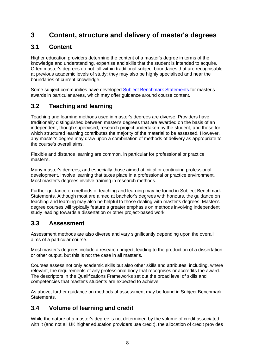# <span id="page-9-0"></span>**3 Content, structure and delivery of master's degrees**

## <span id="page-9-1"></span>**3.1 Content**

Higher education providers determine the content of a master's degree in terms of the knowledge and understanding, expertise and skills that the student is intended to acquire. Often master's degrees do not fall within traditional subject boundaries that are recognisable at previous academic levels of study; they may also be highly specialised and near the boundaries of current knowledge.

Some subject communities have developed **Subject Benchmark Statements** for master's awards in particular areas, which may offer guidance around course content.

## <span id="page-9-2"></span>**3.2 Teaching and learning**

Teaching and learning methods used in master's degrees are diverse. Providers have traditionally distinguished between master's degrees that are awarded on the basis of an independent, though supervised, research project undertaken by the student, and those for which structured learning contributes the majority of the material to be assessed. However, any master's degree may draw upon a combination of methods of delivery as appropriate to the course's overall aims.

Flexible and distance learning are common, in particular for professional or practice master's.

Many master's degrees, and especially those aimed at initial or continuing professional development, involve learning that takes place in a professional or practice environment. Most master's degrees involve training in research methods.

Further guidance on methods of teaching and learning may be found in Subject Benchmark Statements. Although most are aimed at bachelor's degrees with honours, the guidance on teaching and learning may also be helpful to those dealing with master's degrees. Master's degree courses will typically feature a greater emphasis on methods involving independent study leading towards a dissertation or other project-based work.

#### <span id="page-9-3"></span>**3.3 Assessment**

Assessment methods are also diverse and vary significantly depending upon the overall aims of a particular course.

Most master's degrees include a research project, leading to the production of a dissertation or other output, but this is not the case in all master's.

Courses assess not only academic skills but also other skills and attributes, including, where relevant, the requirements of any professional body that recognises or accredits the award. The descriptors in the Qualifications Frameworks set out the broad level of skills and competencies that master's students are expected to achieve.

As above, further guidance on methods of assessment may be found in Subject Benchmark Statements.

#### <span id="page-9-4"></span>**3.4 Volume of learning and credit**

While the nature of a master's degree is not determined by the volume of credit associated with it (and not all UK higher education providers use credit), the allocation of credit provides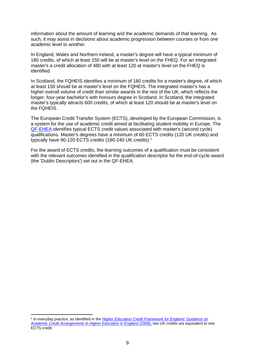information about the amount of learning and the academic demands of that learning. As such, it may assist in decisions about academic progression between courses or from one academic level to another.

In England, Wales and Northern Ireland, a master's degree will have a typical minimum of 180 credits, of which at least 150 will be at master's level on the FHEQ. For an integrated master's a credit allocation of 480 with at least 120 at master's level on the FHEQ is identified.

In Scotland, the FQHEIS identifies a minimum of 180 credits for a master's degree, of which at least 150 should be at master's level on the FQHEIS. The integrated master's has a higher overall volume of credit than similar awards in the rest of the UK, which reflects the longer, four-year bachelor's with honours degree in Scotland. In Scotland, the integrated master's typically attracts 600 credits, of which at least 120 should be at master's level on the FQHEIS.

The European Credit Transfer System (ECTS), developed by the European Commission, is a system for the use of academic credit aimed at facilitating student mobility in Europe. The [QF-EHEA](http://www.ehea.info/page-qualification-frameworks) identifies typical ECTS credit values associated with master's (second cycle) qualifications. Master's degrees have a minimum of 60 ECTS credits (120 UK credits) and typically have 90-120 ECTS credits (180-240 UK credits).<sup>1</sup>

For the award of ECTS credits, the learning outcomes of a qualification must be consistent with the relevant outcomes identified in the qualification descriptor for the end-of-cycle award (the 'Dublin Descriptors') set out in the QF-EHEA.

<sup>&</sup>lt;sup>1</sup> In everyday practice, as identified in the *Higher Education Credit Framework for England: Guidance on [Academic Credit Arrangements in Higher Education in England](https://www.qaa.ac.uk/quality-code/qualifications-and-credit-frameworks)* (2008), two UK credits are equivalent to one ECTS credit.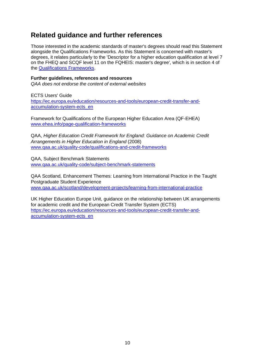# <span id="page-11-0"></span>**Related guidance and further references**

Those interested in the academic standards of master's degrees should read this Statement alongside the Qualifications Frameworks*.* As this Statement is concerned with master's degrees, it relates particularly to the 'Descriptor for a higher education qualification at level 7 on the FHEQ and SCQF level 11 on the FQHEIS: master's degree', which is in section 4 of the [Qualifications Frameworks.](https://www.qaa.ac.uk/quality-code/qualifications-and-credit-frameworks)

#### **Further guidelines, references and resources**

*QAA does not endorse the content of external websites*

ECTS Users' Guide [https://ec.europa.eu/education/resources-and-tools/european-credit-transfer-and](https://ec.europa.eu/education/resources-and-tools/european-credit-transfer-and-accumulation-system-ects_en)[accumulation-system-ects\\_en](https://ec.europa.eu/education/resources-and-tools/european-credit-transfer-and-accumulation-system-ects_en)

Framework for Qualifications of the European Higher Education Area (QF-EHEA) [www.ehea.info/page-qualification-frameworks](http://www.ehea.info/page-qualification-frameworks)

QAA, *Higher Education Credit Framework for England: Guidance on Academic Credit Arrangements in Higher Education in England* (2008) [www.qaa.ac.uk/quality-code/qualifications-and-credit-frameworks](http://www.qaa.ac.uk/quality-code/qualifications-and-credit-frameworks)

QAA, Subject Benchmark Statements [www.qaa.ac.uk/quality-code/subject-benchmark-statements](http://www.qaa.ac.uk/quality-code/subject-benchmark-statements)

QAA Scotland, Enhancement Themes: Learning from International Practice in the Taught Postgraduate Student Experience [www.qaa.ac.uk/scotland/development-projects/learning-from-international-practice](http://www.qaa.ac.uk/scotland/development-projects/learning-from-international-practice)

UK Higher Education Europe Unit, guidance on the relationship between UK arrangements for academic credit and the European Credit Transfer System (ECTS) [https://ec.europa.eu/education/resources-and-tools/european-credit-transfer-and](https://ec.europa.eu/education/resources-and-tools/european-credit-transfer-and-accumulation-system-ects_en)[accumulation-system-ects\\_en](https://ec.europa.eu/education/resources-and-tools/european-credit-transfer-and-accumulation-system-ects_en)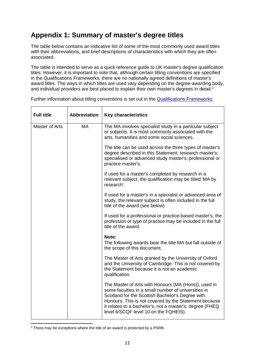# <span id="page-12-0"></span>**Appendix 1: Summary of master's degree titles**

The table below contains an indicative list of some of the most commonly used award titles with their abbreviations, and brief descriptions of characteristics with which they are often associated.

The table is intended to serve as a quick reference guide to UK master's degree qualification titles. However, it is important to note that, although certain titling conventions are specified in the Qualifications Frameworks, there are no nationally agreed definitions of master's award titles. The ways in which titles are used vary depending on the degree-awarding body, and individual providers are best placed to explain their own master's degrees in detail.<sup>2</sup>

| <b>Full title</b> | <b>Abbreviation</b> | <b>Key characteristics</b>                                                                                                                                                                                                                                                                                                    |
|-------------------|---------------------|-------------------------------------------------------------------------------------------------------------------------------------------------------------------------------------------------------------------------------------------------------------------------------------------------------------------------------|
| Master of Arts    | MA                  | The MA involves specialist study in a particular subject<br>or subjects. It is most commonly associated with the<br>arts, humanities and some social sciences.                                                                                                                                                                |
|                   |                     | The title can be used across the three types of master's<br>degree described in this Statement: research master's;<br>specialised or advanced study master's; professional or<br>practice master's.                                                                                                                           |
|                   |                     | If used for a master's completed by research in a<br>relevant subject, the qualification may be titled 'MA by<br>research'.                                                                                                                                                                                                   |
|                   |                     | If used for a master's in a specialist or advanced area of<br>study, the relevant subject is often included in the full<br>title of the award (see below).                                                                                                                                                                    |
|                   |                     | If used for a professional or practice-based master's, the<br>profession or type of practice may be included in the full<br>title of the award.                                                                                                                                                                               |
|                   |                     | Note:<br>The following awards bear the title MA but fall outside of<br>the scope of this document.                                                                                                                                                                                                                            |
|                   |                     | The Master of Arts granted by the University of Oxford<br>and the University of Cambridge. This is not covered by<br>the Statement because it is not an academic<br>qualification.                                                                                                                                            |
|                   |                     | The Master of Arts with Honours (MA (Hons)), used in<br>some faculties in a small number of universities in<br>Scotland for the Scottish Bachelor's Degree with<br>Honours. This is not covered by the Statement because<br>it relates to a bachelor's, not a master's, degree (FHEQ<br>level 6/SCQF level 10 on the FQHEIS). |

Further information about titling conventions is set out in the [Qualifications Frameworks.](https://www.qaa.ac.uk/quality-code/qualifications-and-credit-frameworks)

<sup>&</sup>lt;sup>2</sup> There may be exceptions where the title of an award is protected by a PSRB.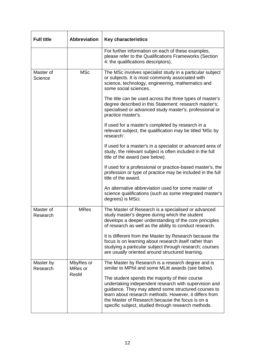| <b>Full title</b>     | <b>Abbreviation</b>  | <b>Key characteristics</b>                                                                                                                                                                                                                                                                                                            |
|-----------------------|----------------------|---------------------------------------------------------------------------------------------------------------------------------------------------------------------------------------------------------------------------------------------------------------------------------------------------------------------------------------|
|                       |                      | For further information on each of these examples,<br>please refer to the Qualifications Frameworks (Section<br>4: the qualifications descriptors).                                                                                                                                                                                   |
| Master of<br>Science  | <b>MSc</b>           | The MSc involves specialist study in a particular subject<br>or subjects. It is most commonly associated with<br>science, technology, engineering, mathematics and<br>some social sciences.                                                                                                                                           |
|                       |                      | The title can be used across the three types of master's<br>degree described in this Statement: research master's;<br>specialised or advanced study master's; professional or<br>practice master's.                                                                                                                                   |
|                       |                      | If used for a master's completed by research in a<br>relevant subject, the qualification may be titled 'MSc by<br>research'.                                                                                                                                                                                                          |
|                       |                      | If used for a master's in a specialist or advanced area of<br>study, the relevant subject is often included in the full<br>title of the award (see below).                                                                                                                                                                            |
|                       |                      | If used for a professional or practice-based master's, the<br>profession or type of practice may be included in the full<br>title of the award.                                                                                                                                                                                       |
|                       |                      | An alternative abbreviation used for some master of<br>science qualifications (such as some integrated master's<br>degrees) is MSci.                                                                                                                                                                                                  |
| Master of<br>Research | <b>MRes</b>          | The Master of Research is a specialised or advanced<br>study master's degree during which the student<br>develops a deeper understanding of the core principles<br>of research as well as the ability to conduct research.                                                                                                            |
|                       |                      | It is different from the Master by Research because the<br>focus is on learning about research itself rather than<br>studying a particular subject through research; courses<br>are usually oriented around structured learning.                                                                                                      |
| Master by<br>Research | MbyRes or<br>MRes or | The Master by Research is a research degree and is<br>similar to MPhil and some MLitt awards (see below).                                                                                                                                                                                                                             |
|                       | <b>ResM</b>          | The student spends the majority of their course<br>undertaking independent research with supervision and<br>guidance. They may attend some structured courses to<br>learn about research methods. However, it differs from<br>the Master of Research because the focus is on a<br>specific subject, studied through research methods. |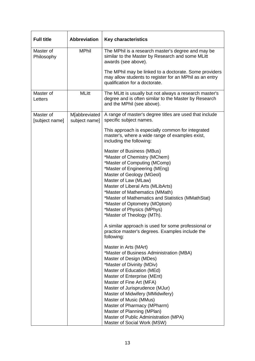| <b>Full title</b>           | <b>Abbreviation</b>            | <b>Key characteristics</b>                                                                                                                                                                                                                                                                                                                                                                                                                                                                                                       |
|-----------------------------|--------------------------------|----------------------------------------------------------------------------------------------------------------------------------------------------------------------------------------------------------------------------------------------------------------------------------------------------------------------------------------------------------------------------------------------------------------------------------------------------------------------------------------------------------------------------------|
| Master of<br>Philosophy     | <b>MPhil</b>                   | The MPhil is a research master's degree and may be<br>similar to the Master by Research and some MLitt<br>awards (see above).                                                                                                                                                                                                                                                                                                                                                                                                    |
|                             |                                | The MPhil may be linked to a doctorate. Some providers<br>may allow students to register for an MPhil as an entry<br>qualification for a doctorate.                                                                                                                                                                                                                                                                                                                                                                              |
| Master of<br>Letters        | <b>MLitt</b>                   | The MLitt is usually but not always a research master's<br>degree and is often similar to the Master by Research<br>and the MPhil (see above).                                                                                                                                                                                                                                                                                                                                                                                   |
| Master of<br>[subject name] | M[abbreviated<br>subject name] | A range of master's degree titles are used that include<br>specific subject names.                                                                                                                                                                                                                                                                                                                                                                                                                                               |
|                             |                                | This approach is especially common for integrated<br>master's, where a wide range of examples exist,<br>including the following:                                                                                                                                                                                                                                                                                                                                                                                                 |
|                             |                                | Master of Business (MBus)<br>*Master of Chemistry (MChem)<br>*Master of Computing (MComp)<br>*Master of Engineering (MEng)<br>Master of Geology (MGeol)<br>Master of Law (MLaw)<br>Master of Liberal Arts (MLibArts)<br>*Master of Mathematics (MMath)<br>*Master of Mathematics and Statistics (MMathStat)<br>*Master of Optometry (MOptom)<br>*Master of Physics (MPhys)<br>*Master of Theology (MTh).<br>A similar approach is used for some professional or<br>practice master's degrees. Examples include the<br>following: |
|                             |                                | Master in Arts (MArt)<br>*Master of Business Administration (MBA)<br>Master of Design (MDes)<br>*Master of Divinity (MDiv)<br>Master of Education (MEd)<br>Master of Enterprise (MEnt)<br>Master of Fine Art (MFA)<br>Master of Jurisprudence (MJur)<br>Master of Midwifery (MMidwifery)<br>Master of Music (MMus)<br>Master of Pharmacy (MPharm)<br>Master of Planning (MPlan)<br>Master of Public Administration (MPA)<br>Master of Social Work (MSW)                                                                          |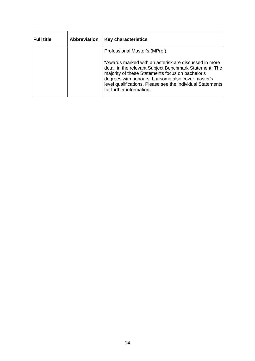| <b>Full title</b> | <b>Abbreviation</b> | <b>Key characteristics</b>                                                                                                                                                                                                                                                                                           |
|-------------------|---------------------|----------------------------------------------------------------------------------------------------------------------------------------------------------------------------------------------------------------------------------------------------------------------------------------------------------------------|
|                   |                     | Professional Master's (MProf).                                                                                                                                                                                                                                                                                       |
|                   |                     | *Awards marked with an asterisk are discussed in more<br>detail in the relevant Subject Benchmark Statement. The<br>majority of these Statements focus on bachelor's<br>degrees with honours, but some also cover master's<br>level qualifications. Please see the individual Statements<br>for further information. |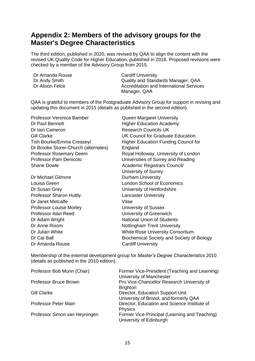# <span id="page-16-0"></span>**Appendix 2: Members of the advisory groups for the Master's Degree Characteristics**

The third edition, published in 2020, was revised by QAA to align the content with the revised UK Quality Code for Higher Education, published in 2018. Proposed revisions were checked by a member of the Advisory Group from 2015.

| Dr Amanda Rouse | <b>Cardiff University</b>                |
|-----------------|------------------------------------------|
| Dr Andy Smith   | Quality and Standards Manager, QAA       |
| Dr Alison Felce | Accreditation and International Services |
|                 | Manager, QAA                             |

QAA is grateful to members of the Postgraduate Advisory Group for support in revising and updating this document in 2015 (details as published in the second edition).

| Professor Veronica Bamber            | Queen Margaret University                   |
|--------------------------------------|---------------------------------------------|
| Dr Paul Bennett                      | <b>Higher Education Academy</b>             |
| Dr Iain Cameron                      | <b>Research Councils UK</b>                 |
| <b>Gill Clarke</b>                   | UK Council for Graduate Education           |
| Tish Bourke/Emma Creasey/            | <b>Higher Education Funding Council for</b> |
| Dr Brooke Storer-Church (alternates) | England                                     |
| <b>Professor Rosemary Deem</b>       | Royal Holloway, University of London        |
| Professor Pam Denicolo               | Universities of Surrey and Reading          |
| <b>Shane Dowle</b>                   | Academic Registrars Council/                |
|                                      | University of Surrey                        |
| Dr Michael Gilmore                   | <b>Durham University</b>                    |
| Louisa Green                         | <b>London School of Economics</b>           |
| Dr Susan Grey                        | University of Hertfordshire                 |
| <b>Professor Sharon Huttly</b>       | <b>Lancaster University</b>                 |
| Dr Janet Metcalfe                    | Vitae                                       |
| <b>Professor Louise Morley</b>       | University of Sussex                        |
| Professor Alan Reed                  | University of Greenwich                     |
| Dr Adam Wright                       | <b>National Union of Students</b>           |
| Dr Anne Rixom                        | <b>Nottingham Trent University</b>          |
| Dr Julian White                      | <b>White Rose University Consortium</b>     |
| Dr Cat Ball                          | Biochemical Society and Society of Biology  |
| Dr Amanda Rouse                      | <b>Cardiff University</b>                   |
|                                      |                                             |

Membership of the external development group for *Master's Degree Characteristics* 2010 (details as published in the 2010 edition).

| Professor Bob Munn (Chair)    | Former Vice-President (Teaching and Learning)<br>University of Manchester   |
|-------------------------------|-----------------------------------------------------------------------------|
| <b>Professor Bruce Brown</b>  | Pro Vice-Chancellor Research University of<br><b>Brighton</b>               |
| <b>Gill Clarke</b>            | Director, Education Support Unit<br>University of Bristol, and formerly QAA |
| <b>Professor Peter Main</b>   | Director, Education and Science Institute of<br><b>Physics</b>              |
| Professor Simon van Heyningen | Former Vice-Principal (Learning and Teaching)<br>University of Edinburgh    |